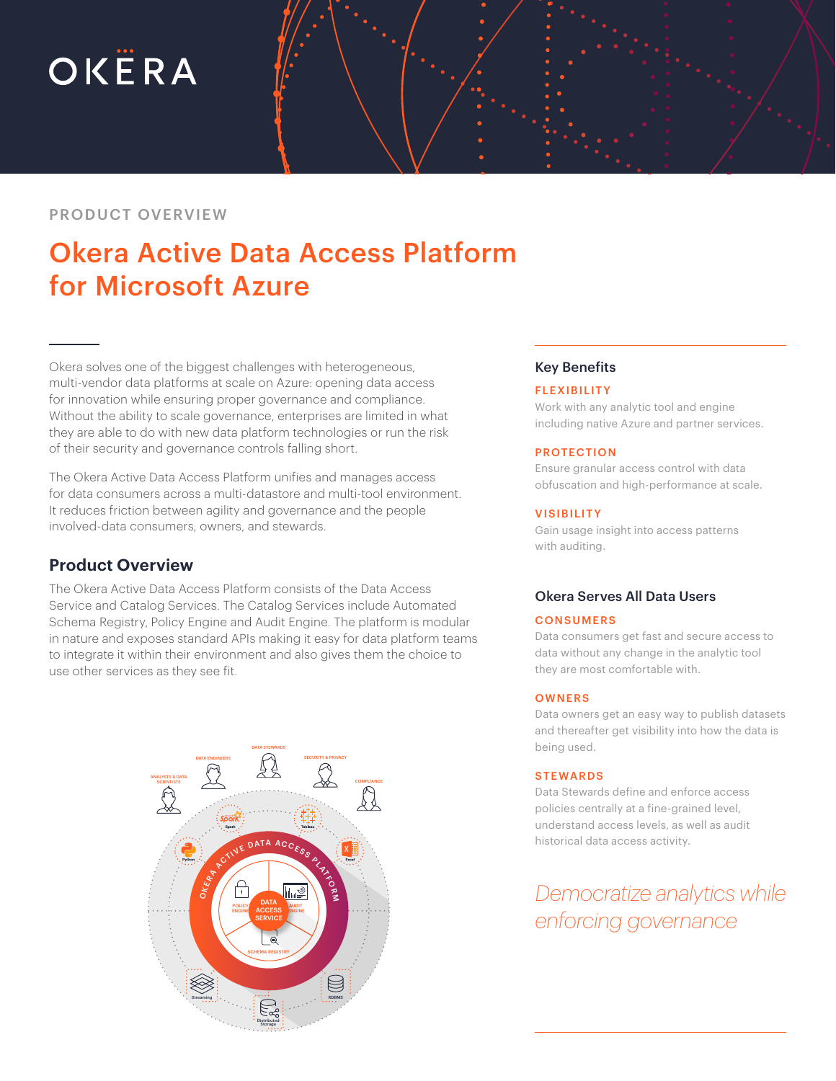# OKËRA

### PRODUCT OVERVIEW

# Okera Active Data Access Platform for Microsoft Azure

Okera solves one of the biggest challenges with heterogeneous, multi-vendor data platforms at scale on Azure: opening data access for innovation while ensuring proper governance and compliance. Without the ability to scale governance, enterprises are limited in what they are able to do with new data platform technologies or run the risk of their security and governance controls falling short.

The Okera Active Data Access Platform unifies and manages access for data consumers across a multi-datastore and multi-tool environment. It reduces friction between agility and governance and the people involved-data consumers, owners, and stewards.

## **Product Overview**

The Okera Active Data Access Platform consists of the Data Access Service and Catalog Services. The Catalog Services include Automated Schema Registry, Policy Engine and Audit Engine. The platform is modular in nature and exposes standard APIs making it easy for data platform teams to integrate it within their environment and also gives them the choice to use other services as they see fit.



#### Key Benefits

#### **FLEXIBILITY**

Work with any analytic tool and engine including native Azure and partner services.

#### PROTECTION

Ensure granular access control with data obfuscation and high-performance at scale.

#### **VISIBILITY**

Gain usage insight into access patterns with auditing.

#### Okera Serves All Data Users

#### **CONSUMERS**

Data consumers get fast and secure access to data without any change in the analytic tool they are most comfortable with.

#### **OWNERS**

Data owners get an easy way to publish datasets and thereafter get visibility into how the data is being used.

#### **STEWARDS**

Data Stewards define and enforce access policies centrally at a fine-grained level, understand access levels, as well as audit historical data access activity.

*Democratize analytics while enforcing governance*